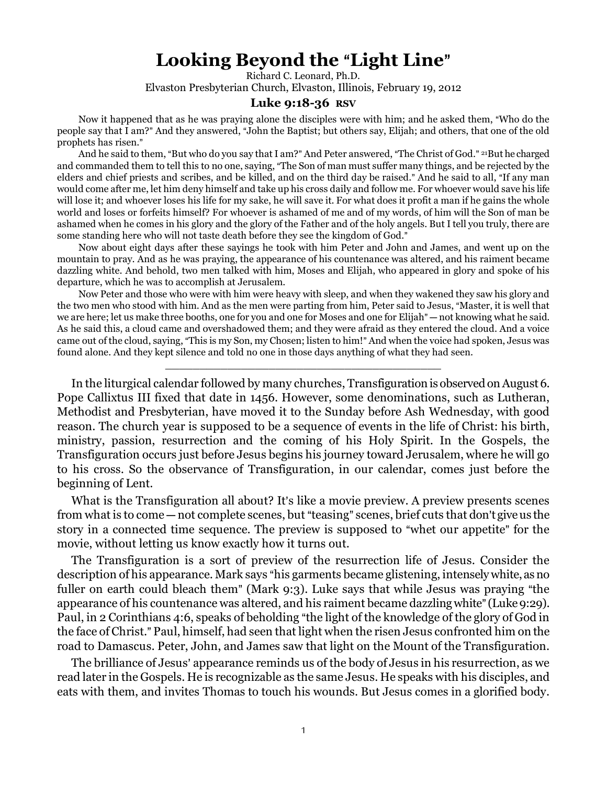## **Looking Beyond the "Light Line"**

Richard C. Leonard, Ph.D. Elvaston Presbyterian Church, Elvaston, Illinois, February 19, 2012

## **Luke 9:18-36 RSV**

Now it happened that as he was praying alone the disciples were with him; and he asked them, "Who do the people say that I am?" And they answered, "John the Baptist; but others say, Elijah; and others, that one of the old prophets has risen."

And he said to them, "But who do you say that I am?" And Peter answered, "The Christ of God." <sup>21</sup>But he charged and commanded them to tell this to no one, saying, "The Son of man must suffer many things, and be rejected by the elders and chief priests and scribes, and be killed, and on the third day be raised." And he said to all, "If any man would come after me, let him deny himself and take up his cross daily and follow me. For whoever would save his life will lose it; and whoever loses his life for my sake, he will save it. For what does it profit a man if he gains the whole world and loses or forfeits himself? For whoever is ashamed of me and of my words, of him will the Son of man be ashamed when he comes in his glory and the glory of the Father and of the holy angels. But I tell you truly, there are some standing here who will not taste death before they see the kingdom of God."

Now about eight days after these sayings he took with him Peter and John and James, and went up on the mountain to pray. And as he was praying, the appearance of his countenance was altered, and his raiment became dazzling white. And behold, two men talked with him, Moses and Elijah, who appeared in glory and spoke of his departure, which he was to accomplish at Jerusalem.

Now Peter and those who were with him were heavy with sleep, and when they wakened they saw his glory and the two men who stood with him. And as the men were parting from him, Peter said to Jesus, "Master, it is well that we are here; let us make three booths, one for you and one for Moses and one for Elijah"—not knowing what he said. As he said this, a cloud came and overshadowed them; and they were afraid as they entered the cloud. And a voice came out of the cloud, saying, "This is my Son, my Chosen; listen to him!" And when the voice had spoken, Jesus was found alone. And they kept silence and told no one in those days anything of what they had seen.

\_\_\_\_\_\_\_\_\_\_\_\_\_\_\_\_\_\_\_\_\_\_\_\_\_\_\_\_\_\_\_\_\_\_\_\_\_\_\_\_

In the liturgical calendar followed by many churches, Transfiguration is observed on August 6. Pope Callixtus III fixed that date in 1456. However, some denominations, such as Lutheran, Methodist and Presbyterian, have moved it to the Sunday before Ash Wednesday, with good reason. The church year is supposed to be a sequence of events in the life of Christ: his birth, ministry, passion, resurrection and the coming of his Holy Spirit. In the Gospels, the Transfiguration occurs just before Jesus begins his journey toward Jerusalem, where he will go to his cross. So the observance of Transfiguration, in our calendar, comes just before the beginning of Lent.

What is the Transfiguration all about? It's like a movie preview. A preview presents scenes from what is to come  $-$  not complete scenes, but "teasing" scenes, brief cuts that don't give us the story in a connected time sequence. The preview is supposed to "whet our appetite" for the movie, without letting us know exactly how it turns out.

The Transfiguration is a sort of preview of the resurrection life of Jesus. Consider the description of his appearance. Mark says "his garments became glistening, intensely white, as no fuller on earth could bleach them" (Mark 9:3). Luke says that while Jesus was praying "the appearance of his countenance was altered, and his raiment became dazzling white" (Luke 9:29). Paul, in 2 Corinthians 4:6, speaks of beholding "the light of the knowledge of the glory of God in the face of Christ." Paul, himself, had seen that light when the risen Jesus confronted him on the road to Damascus. Peter, John, and James saw that light on the Mount of the Transfiguration.

The brilliance of Jesus' appearance reminds us of the body of Jesus in his resurrection, as we read later in the Gospels. He is recognizable as the same Jesus. He speaks with his disciples, and eats with them, and invites Thomas to touch his wounds. But Jesus comes in a glorified body.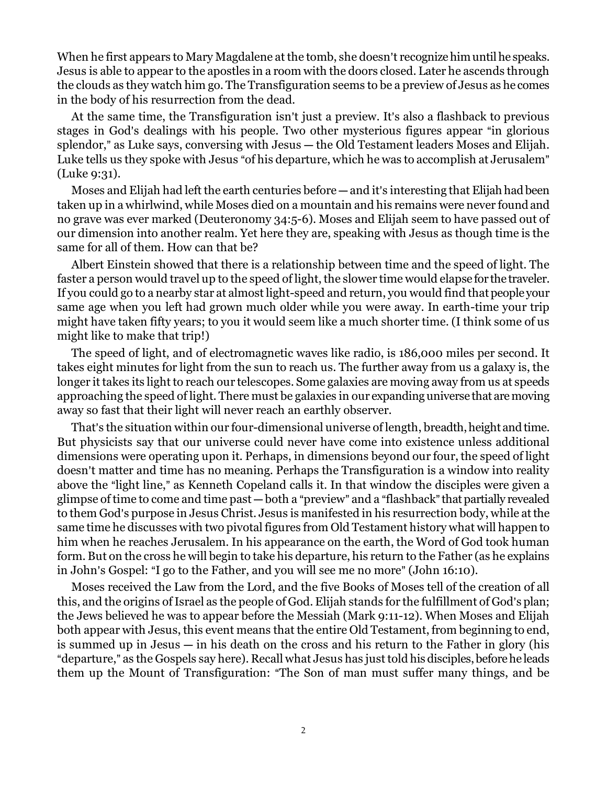When he first appears to Mary Magdalene at the tomb, she doesn't recognize him until he speaks. Jesus is able to appear to the apostles in a room with the doors closed. Later he ascends through the clouds as they watch him go. The Transfiguration seems to be a preview of Jesus as he comes in the body of his resurrection from the dead.

At the same time, the Transfiguration isn't just a preview. It's also a flashback to previous stages in God's dealings with his people. Two other mysterious figures appear "in glorious splendor," as Luke says, conversing with Jesus — the Old Testament leaders Moses and Elijah. Luke tells us they spoke with Jesus "of his departure, which he was to accomplish at Jerusalem" (Luke 9:31).

Moses and Elijah had left the earth centuries before  $-$  and it's interesting that Elijah had been taken up in a whirlwind, while Moses died on a mountain and his remains were never found and no grave was ever marked (Deuteronomy 34:5-6). Moses and Elijah seem to have passed out of our dimension into another realm. Yet here they are, speaking with Jesus as though time is the same for all of them. How can that be?

Albert Einstein showed that there is a relationship between time and the speed of light. The faster a person would travel up to the speed of light, the slower time would elapse for the traveler. If you could go to a nearby star at almost light-speed and return, you would find that people your same age when you left had grown much older while you were away. In earth-time your trip might have taken fifty years; to you it would seem like a much shorter time. (I think some of us might like to make that trip!)

The speed of light, and of electromagnetic waves like radio, is 186,000 miles per second. It takes eight minutes for light from the sun to reach us. The further away from us a galaxy is, the longer it takes its light to reach our telescopes. Some galaxies are moving away from us at speeds approaching the speed of light. There must be galaxies in our expanding universe that are moving away so fast that their light will never reach an earthly observer.

That's the situation within our four-dimensional universe of length, breadth, height and time. But physicists say that our universe could never have come into existence unless additional dimensions were operating upon it. Perhaps, in dimensions beyond our four, the speed of light doesn't matter and time has no meaning. Perhaps the Transfiguration is a window into reality above the "light line," as Kenneth Copeland calls it. In that window the disciples were given a glimpse of time to come and time past — both a "preview" and a "flashback" that partially revealed to them God's purpose in Jesus Christ. Jesus is manifested in his resurrection body, while at the same time he discusses with two pivotal figures from Old Testament history what will happen to him when he reaches Jerusalem. In his appearance on the earth, the Word of God took human form. But on the cross he will begin to take his departure, his return to the Father (as he explains in John's Gospel: "I go to the Father, and you will see me no more" (John 16:10).

Moses received the Law from the Lord, and the five Books of Moses tell of the creation of all this, and the origins of Israel as the people of God. Elijah stands for the fulfillment of God's plan; the Jews believed he was to appear before the Messiah (Mark 9:11-12). When Moses and Elijah both appear with Jesus, this event means that the entire Old Testament, from beginning to end, is summed up in Jesus  $\frac{1}{n}$  in his death on the cross and his return to the Father in glory (his "departure," as the Gospels say here). Recall what Jesus has just told his disciples, before he leads them up the Mount of Transfiguration: "The Son of man must suffer many things, and be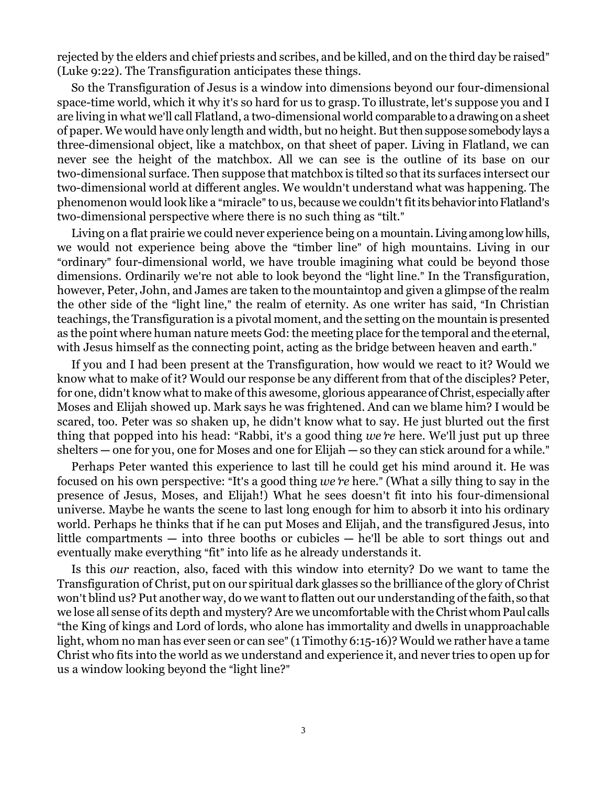rejected by the elders and chief priests and scribes, and be killed, and on the third day be raised" (Luke 9:22). The Transfiguration anticipates these things.

So the Transfiguration of Jesus is a window into dimensions beyond our four-dimensional space-time world, which it why it's so hard for us to grasp. To illustrate, let's suppose you and I are living in what we'll call Flatland, a two-dimensional world comparable to a drawing on a sheet of paper. We would have only length and width, but no height. But then suppose somebody lays a three-dimensional object, like a matchbox, on that sheet of paper. Living in Flatland, we can never see the height of the matchbox. All we can see is the outline of its base on our two-dimensional surface. Then suppose that matchbox is tilted so that its surfaces intersect our two-dimensional world at different angles. We wouldn't understand what was happening. The phenomenon would look like a "miracle" to us, because we couldn't fit its behavior into Flatland's two-dimensional perspective where there is no such thing as "tilt."

Living on a flat prairie we could never experience being on a mountain. Living among low hills, we would not experience being above the "timber line" of high mountains. Living in our "ordinary" four-dimensional world, we have trouble imagining what could be beyond those dimensions. Ordinarily we're not able to look beyond the "light line." In the Transfiguration, however, Peter, John, and James are taken to the mountaintop and given a glimpse of the realm the other side of the "light line," the realm of eternity. As one writer has said, "In Christian teachings, the Transfiguration is a pivotal moment, and the setting on the mountain is presented as the point where human nature meets God: the meeting place for the temporal and the eternal, with Jesus himself as the connecting point, acting as the bridge between heaven and earth."

If you and I had been present at the Transfiguration, how would we react to it? Would we know what to make of it? Would our response be any different from that of the disciples? Peter, for one, didn't know what to make of this awesome, glorious appearance of Christ, especially after Moses and Elijah showed up. Mark says he was frightened. And can we blame him? I would be scared, too. Peter was so shaken up, he didn't know what to say. He just blurted out the first thing that popped into his head: "Rabbi, it's a good thing *we re* here. We'll just put up three  $shelters - one for you, one for Moses and one for Elijah - so they can stick around for a while.$ 

Perhaps Peter wanted this experience to last till he could get his mind around it. He was focused on his own perspective: "It's a good thing *we re* here." (What a silly thing to say in the presence of Jesus, Moses, and Elijah!) What he sees doesn't fit into his four-dimensional universe. Maybe he wants the scene to last long enough for him to absorb it into his ordinary world. Perhaps he thinks that if he can put Moses and Elijah, and the transfigured Jesus, into little compartments  $-$  into three booths or cubicles  $-$  he'll be able to sort things out and eventually make everything "fit" into life as he already understands it.

Is this *our* reaction, also, faced with this window into eternity? Do we want to tame the Transfiguration of Christ, put on our spiritual dark glasses so the brilliance of the glory of Christ won't blind us? Put another way, do we want to flatten out our understanding of the faith, so that we lose all sense of its depth and mystery? Are we uncomfortable with the Christ whom Paul calls "the King of kings and Lord of lords, who alone has immortality and dwells in unapproachable light, whom no man has ever seen or can see" (1 Timothy 6:15-16)? Would we rather have a tame Christ who fits into the world as we understand and experience it, and never tries to open up for us a window looking beyond the "light line?"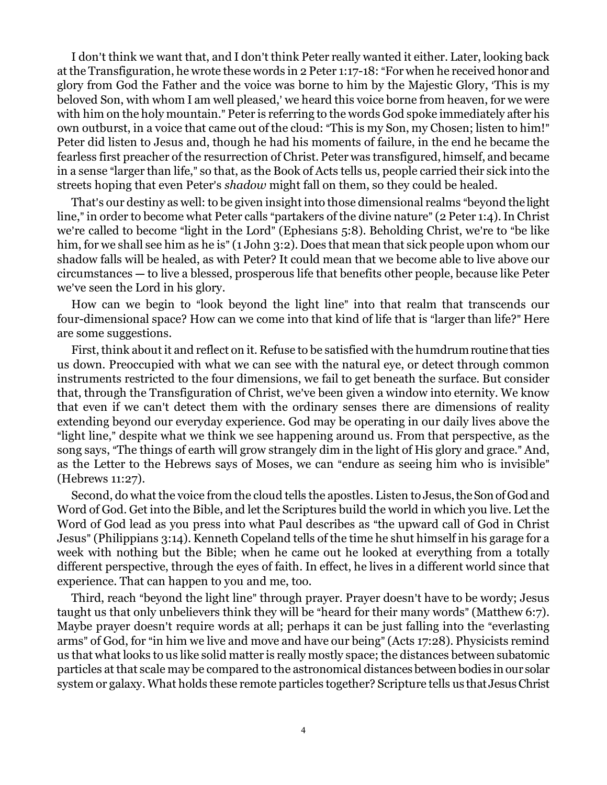I don't think we want that, and I don't think Peter really wanted it either. Later, looking back at the Transfiguration, he wrote these words in 2 Peter 1:17-18: "For when he received honor and glory from God the Father and the voice was borne to him by the Majestic Glory, 'This is my beloved Son, with whom I am well pleased,' we heard this voice borne from heaven, for we were with him on the holy mountain." Peter is referring to the words God spoke immediately after his own outburst, in a voice that came out of the cloud: "This is my Son, my Chosen; listen to him!" Peter did listen to Jesus and, though he had his moments of failure, in the end he became the fearless first preacher of the resurrection of Christ. Peter was transfigured, himself, and became in a sense "larger than life," so that, as the Book of Acts tells us, people carried their sick into the streets hoping that even Peter's *shadow* might fall on them, so they could be healed.

That's our destiny as well: to be given insight into those dimensional realms "beyond the light line," in order to become what Peter calls "partakers of the divine nature" (2 Peter 1:4). In Christ we're called to become "light in the Lord" (Ephesians  $5:8$ ). Beholding Christ, we're to "be like him, for we shall see him as he is" (1 John 3:2). Does that mean that sick people upon whom our shadow falls will be healed, as with Peter? It could mean that we become able to live above our circumstances — to live a blessed, prosperous life that benefits other people, because like Peter we've seen the Lord in his glory.

How can we begin to "look beyond the light line" into that realm that transcends our four-dimensional space? How can we come into that kind of life that is "larger than life?" Here are some suggestions.

First, think about it and reflect on it. Refuse to be satisfied with the humdrum routine that ties us down. Preoccupied with what we can see with the natural eye, or detect through common instruments restricted to the four dimensions, we fail to get beneath the surface. But consider that, through the Transfiguration of Christ, we've been given a window into eternity. We know that even if we can't detect them with the ordinary senses there are dimensions of reality extending beyond our everyday experience. God may be operating in our daily lives above the "light line," despite what we think we see happening around us. From that perspective, as the song says, "The things of earth will grow strangely dim in the light of His glory and grace." And, as the Letter to the Hebrews says of Moses, we can "endure as seeing him who is invisible" (Hebrews 11:27).

Second, do what the voice from the cloud tells the apostles. Listen to Jesus, the Son of God and Word of God. Get into the Bible, and let the Scriptures build the world in which you live. Let the Word of God lead as you press into what Paul describes as "the upward call of God in Christ Jesus" (Philippians 3:14). Kenneth Copeland tells of the time he shut himself in his garage for a week with nothing but the Bible; when he came out he looked at everything from a totally different perspective, through the eyes of faith. In effect, he lives in a different world since that experience. That can happen to you and me, too.

Third, reach "beyond the light line" through prayer. Prayer doesn't have to be wordy; Jesus taught us that only unbelievers think they will be "heard for their many words" (Matthew 6:7). Maybe prayer doesn't require words at all; perhaps it can be just falling into the "everlasting" arms" of God, for "in him we live and move and have our being" (Acts 17:28). Physicists remind us that what looks to us like solid matter is really mostly space; the distances between subatomic particles at that scale may be compared to the astronomical distances between bodies in our solar system or galaxy. What holds these remote particles together? Scripture tells us that Jesus Christ